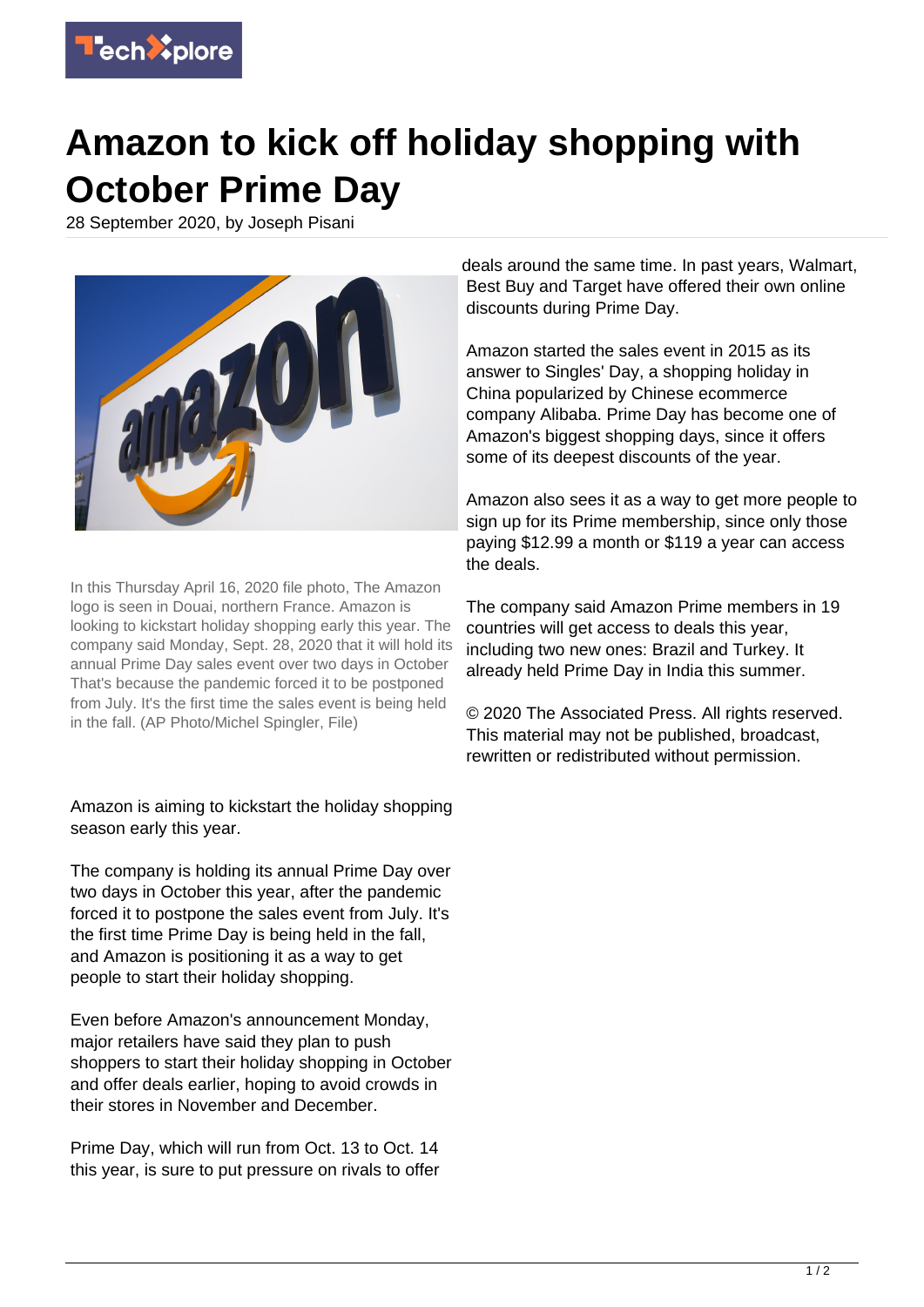## **T**ech<sup>3</sup>plore

## **Amazon to kick off holiday shopping with October Prime Day**

28 September 2020, by Joseph Pisani



In this Thursday April 16, 2020 file photo, The Amazon logo is seen in Douai, northern France. Amazon is looking to kickstart holiday shopping early this year. The company said Monday, Sept. 28, 2020 that it will hold its annual Prime Day sales event over two days in October That's because the pandemic forced it to be postponed from July. It's the first time the sales event is being held in the fall. (AP Photo/Michel Spingler, File)

## Amazon is aiming to kickstart the holiday shopping season early this year.

The company is holding its annual Prime Day over two days in October this year, after the pandemic forced it to postpone the sales event from July. It's the first time Prime Day is being held in the fall, and Amazon is positioning it as a way to get people to start their holiday shopping.

Even before Amazon's announcement Monday, major retailers have said they plan to push shoppers to start their holiday shopping in October and offer deals earlier, hoping to avoid crowds in their stores in November and December.

Prime Day, which will run from Oct. 13 to Oct. 14 this year, is sure to put pressure on rivals to offer deals around the same time. In past years, Walmart, Best Buy and Target have offered their own online discounts during Prime Day.

Amazon started the sales event in 2015 as its answer to Singles' Day, a shopping holiday in China popularized by Chinese ecommerce company Alibaba. Prime Day has become one of Amazon's biggest shopping days, since it offers some of its deepest discounts of the year.

Amazon also sees it as a way to get more people to sign up for its Prime membership, since only those paying \$12.99 a month or \$119 a year can access the deals.

The company said Amazon Prime members in 19 countries will get access to deals this year, including two new ones: Brazil and Turkey. It already held Prime Day in India this summer.

© 2020 The Associated Press. All rights reserved. This material may not be published, broadcast, rewritten or redistributed without permission.